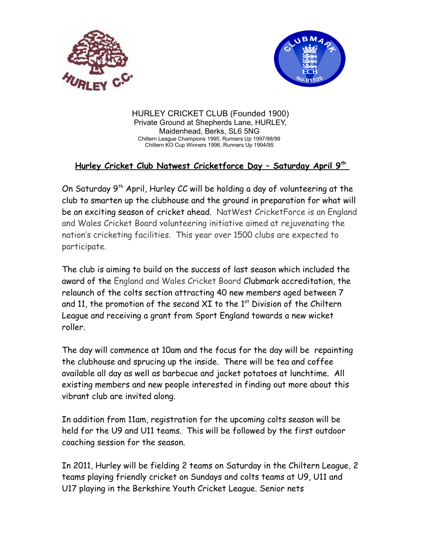



HURLEY CRICKET CLUB (Founded 1900) Private Ground at Shepherds Lane, HURLEY, Maidenhead, Berks, SL6 5NG Chiltern League Champions 1995, Runners Up 1997/98/99 Chiltern KO Cup Winners 1996, Runners Up 1994/95

## **Hurley Cricket Club Natwest Cricketforce Day – Saturday April 9th**

On Saturday 9th April, Hurley CC will be holding a day of volunteering at the club to smarten up the clubhouse and the ground in preparation for what will be an exciting season of cricket ahead. NatWest CricketForce is an England and Wales Cricket Board volunteering initiative aimed at rejuvenating the nation's cricketing facilities. This year over 1500 clubs are expected to participate.

The club is aiming to build on the success of last season which included the award of the England and Wales Cricket Board Clubmark accreditation, the relaunch of the colts section attracting 40 new members aged between 7 and 11, the promotion of the second XI to the  $1<sup>st</sup>$  Division of the Chiltern League and receiving a grant from Sport England towards a new wicket roller.

The day will commence at 10am and the focus for the day will be repainting the clubhouse and sprucing up the inside. There will be tea and coffee available all day as well as barbecue and jacket potatoes at lunchtime. All existing members and new people interested in finding out more about this vibrant club are invited along.

In addition from 11am, registration for the upcoming colts season will be held for the U9 and U11 teams. This will be followed by the first outdoor coaching session for the season.

In 2011, Hurley will be fielding 2 teams on Saturday in the Chiltern League, 2 teams playing friendly cricket on Sundays and colts teams at U9, U11 and U17 playing in the Berkshire Youth Cricket League. Senior nets